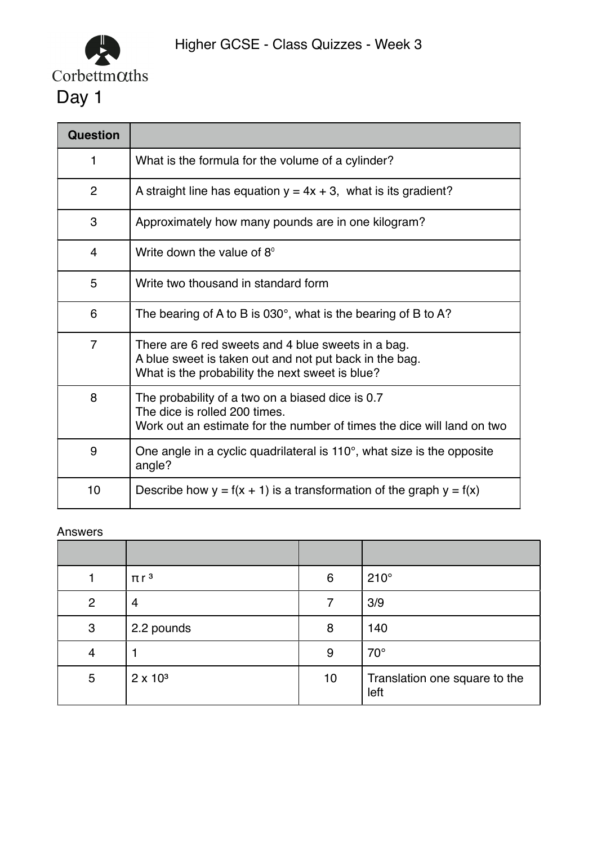

| Question       |                                                                                                                                                                 |  |  |
|----------------|-----------------------------------------------------------------------------------------------------------------------------------------------------------------|--|--|
| 1              | What is the formula for the volume of a cylinder?                                                                                                               |  |  |
| $\overline{2}$ | A straight line has equation $y = 4x + 3$ , what is its gradient?                                                                                               |  |  |
| 3              | Approximately how many pounds are in one kilogram?                                                                                                              |  |  |
| $\overline{4}$ | Write down the value of 8°                                                                                                                                      |  |  |
| 5              | Write two thousand in standard form                                                                                                                             |  |  |
| 6              | The bearing of A to B is 030 $^{\circ}$ , what is the bearing of B to A?                                                                                        |  |  |
| $\overline{7}$ | There are 6 red sweets and 4 blue sweets in a bag.<br>A blue sweet is taken out and not put back in the bag.<br>What is the probability the next sweet is blue? |  |  |
| 8              | The probability of a two on a biased dice is 0.7<br>The dice is rolled 200 times.<br>Work out an estimate for the number of times the dice will land on two     |  |  |
| 9              | One angle in a cyclic quadrilateral is $110^\circ$ , what size is the opposite<br>angle?                                                                        |  |  |
| 10             | Describe how $y = f(x + 1)$ is a transformation of the graph $y = f(x)$                                                                                         |  |  |

|              | $\pi r^3$       | 6  | $210^\circ$                           |
|--------------|-----------------|----|---------------------------------------|
| 2            | 4               |    | 3/9                                   |
| $\mathbf{3}$ | 2.2 pounds      | 8  | 140                                   |
| 4            |                 | 9  | $70^{\circ}$                          |
| 5            | $2 \times 10^3$ | 10 | Translation one square to the<br>left |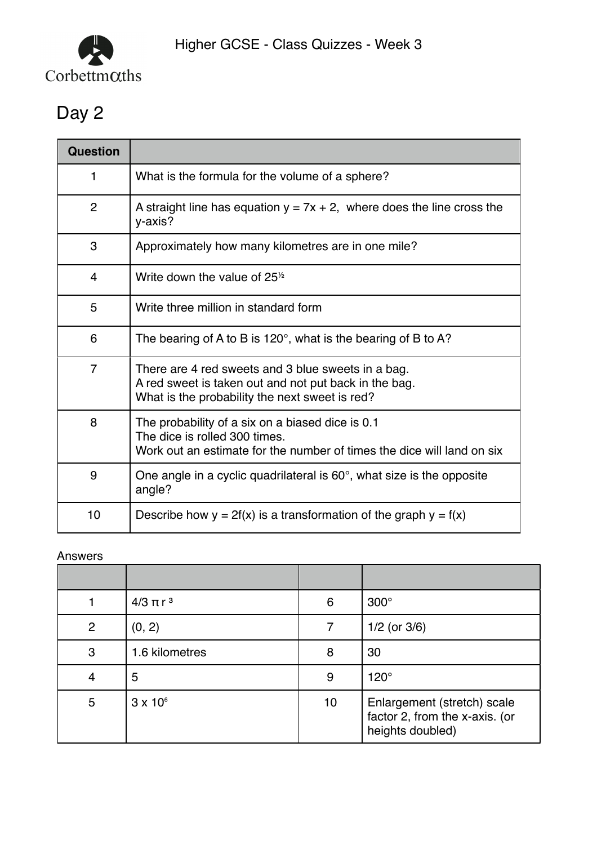

| <b>Question</b> |                                                                                                                                                               |  |  |
|-----------------|---------------------------------------------------------------------------------------------------------------------------------------------------------------|--|--|
| 1               | What is the formula for the volume of a sphere?                                                                                                               |  |  |
| $\overline{2}$  | A straight line has equation $y = 7x + 2$ , where does the line cross the<br>y-axis?                                                                          |  |  |
| 3               | Approximately how many kilometres are in one mile?                                                                                                            |  |  |
| $\overline{4}$  | Write down the value of $251/2$                                                                                                                               |  |  |
| 5               | Write three million in standard form                                                                                                                          |  |  |
| 6               | The bearing of A to B is 120 $^{\circ}$ , what is the bearing of B to A?                                                                                      |  |  |
| $\overline{7}$  | There are 4 red sweets and 3 blue sweets in a bag.<br>A red sweet is taken out and not put back in the bag.<br>What is the probability the next sweet is red? |  |  |
| 8               | The probability of a six on a biased dice is 0.1<br>The dice is rolled 300 times.<br>Work out an estimate for the number of times the dice will land on six   |  |  |
| 9               | One angle in a cyclic quadrilateral is $60^\circ$ , what size is the opposite<br>angle?                                                                       |  |  |
| 10              | Describe how $y = 2f(x)$ is a transformation of the graph $y = f(x)$                                                                                          |  |  |

|                | $4/3 \pi r^3$   | 6  | $300^\circ$                                                                       |
|----------------|-----------------|----|-----------------------------------------------------------------------------------|
| $\overline{2}$ | (0, 2)          |    | $1/2$ (or $3/6$ )                                                                 |
| 3              | 1.6 kilometres  | 8  | 30                                                                                |
| 4              | 5               | 9  | $120^\circ$                                                                       |
| $5\phantom{1}$ | $3 \times 10^6$ | 10 | Enlargement (stretch) scale<br>factor 2, from the x-axis. (or<br>heights doubled) |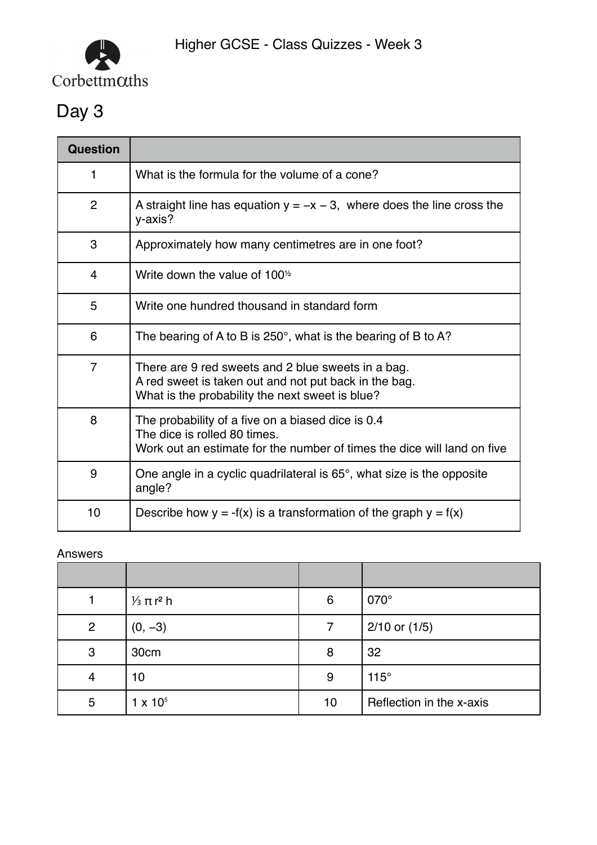

| <b>Question</b> |                                                                                                                                                                |
|-----------------|----------------------------------------------------------------------------------------------------------------------------------------------------------------|
| 1               | What is the formula for the volume of a cone?                                                                                                                  |
| $\overline{2}$  | A straight line has equation $y = -x - 3$ , where does the line cross the<br>y-axis?                                                                           |
| 3               | Approximately how many centimetres are in one foot?                                                                                                            |
| 4               | Write down the value of $1001$                                                                                                                                 |
| 5               | Write one hundred thousand in standard form                                                                                                                    |
| 6               | The bearing of A to B is $250^\circ$ , what is the bearing of B to A?                                                                                          |
| $\overline{7}$  | There are 9 red sweets and 2 blue sweets in a bag.<br>A red sweet is taken out and not put back in the bag.<br>What is the probability the next sweet is blue? |
| 8               | The probability of a five on a biased dice is 0.4<br>The dice is rolled 80 times.<br>Work out an estimate for the number of times the dice will land on five   |
| 9               | One angle in a cyclic quadrilateral is $65^\circ$ , what size is the opposite<br>angle?                                                                        |
| 10              | Describe how $y = -f(x)$ is a transformation of the graph $y = f(x)$                                                                                           |

|                | $\frac{1}{3}$ π r <sup>2</sup> h | 6  | 070°                     |
|----------------|----------------------------------|----|--------------------------|
| $\overline{2}$ | $(0, -3)$                        | 7  | $2/10$ or $(1/5)$        |
| 3              | 30cm                             | 8  | 32                       |
|                | 10                               | 9  | $115^\circ$              |
| 5              | $1 \times 10^{5}$                | 10 | Reflection in the x-axis |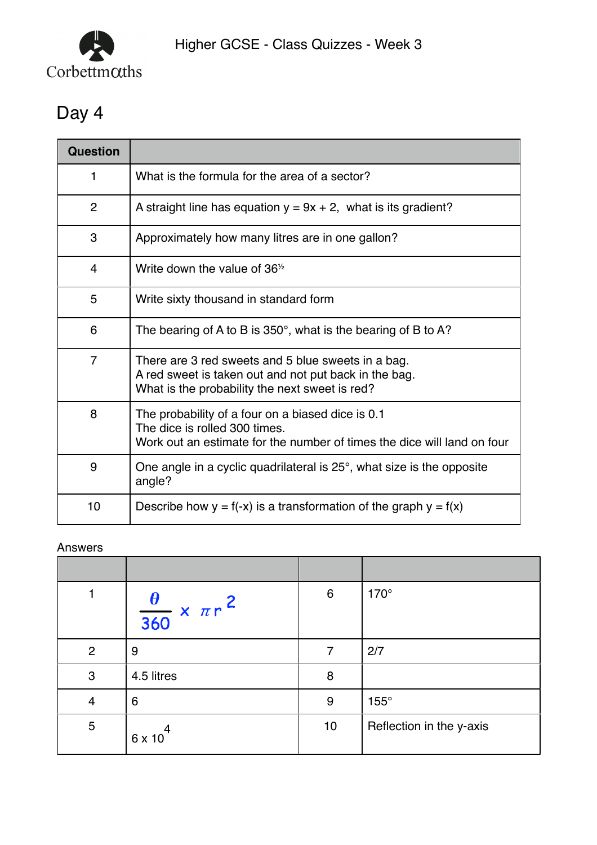

| Question       |                                                                                                                                                               |  |  |
|----------------|---------------------------------------------------------------------------------------------------------------------------------------------------------------|--|--|
| 1              | What is the formula for the area of a sector?                                                                                                                 |  |  |
| $\overline{2}$ | A straight line has equation $y = 9x + 2$ , what is its gradient?                                                                                             |  |  |
| 3              | Approximately how many litres are in one gallon?                                                                                                              |  |  |
| $\overline{4}$ | Write down the value of $361$                                                                                                                                 |  |  |
| 5              | Write sixty thousand in standard form                                                                                                                         |  |  |
| 6              | The bearing of A to B is $350^\circ$ , what is the bearing of B to A?                                                                                         |  |  |
| $\overline{7}$ | There are 3 red sweets and 5 blue sweets in a bag.<br>A red sweet is taken out and not put back in the bag.<br>What is the probability the next sweet is red? |  |  |
| 8              | The probability of a four on a biased dice is 0.1<br>The dice is rolled 300 times.<br>Work out an estimate for the number of times the dice will land on four |  |  |
| 9              | One angle in a cyclic quadrilateral is $25^\circ$ , what size is the opposite<br>angle?                                                                       |  |  |
| 10             | Describe how $y = f(-x)$ is a transformation of the graph $y = f(x)$                                                                                          |  |  |

|                | $\frac{\theta}{360} \times \pi r^2$ | $6\phantom{1}6$ | 170°                     |
|----------------|-------------------------------------|-----------------|--------------------------|
| $\overline{2}$ | 9                                   | 7               | 2/7                      |
| $\mathbf{3}$   | 4.5 litres                          | 8               |                          |
| 4              | 6                                   | 9               | $155^\circ$              |
| 5              | 6 x 10                              | 10              | Reflection in the y-axis |